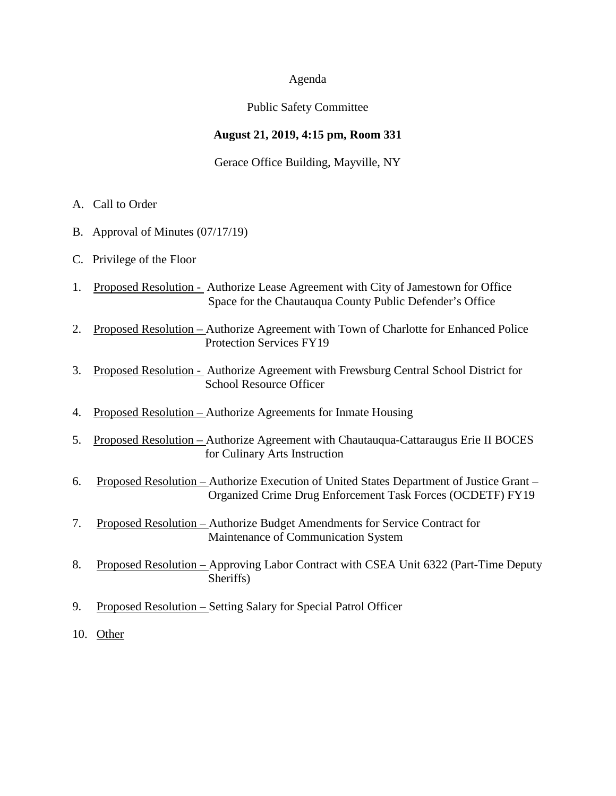#### Agenda

#### Public Safety Committee

# **August 21, 2019, 4:15 pm, Room 331**

Gerace Office Building, Mayville, NY

- A. Call to Order
- B. Approval of Minutes (07/17/19)
- C. Privilege of the Floor
- 1. Proposed Resolution Authorize Lease Agreement with City of Jamestown for Office Space for the Chautauqua County Public Defender's Office
- 2. Proposed Resolution Authorize Agreement with Town of Charlotte for Enhanced Police Protection Services FY19
- 3. Proposed Resolution Authorize Agreement with Frewsburg Central School District for School Resource Officer
- 4. Proposed Resolution Authorize Agreements for Inmate Housing
- 5. Proposed Resolution Authorize Agreement with Chautauqua-Cattaraugus Erie II BOCES for Culinary Arts Instruction
- 6. Proposed Resolution Authorize Execution of United States Department of Justice Grant Organized Crime Drug Enforcement Task Forces (OCDETF) FY19
- 7. Proposed Resolution Authorize Budget Amendments for Service Contract for Maintenance of Communication System
- 8. Proposed Resolution Approving Labor Contract with CSEA Unit 6322 (Part-Time Deputy Sheriffs)
- 9. Proposed Resolution Setting Salary for Special Patrol Officer
- 10. Other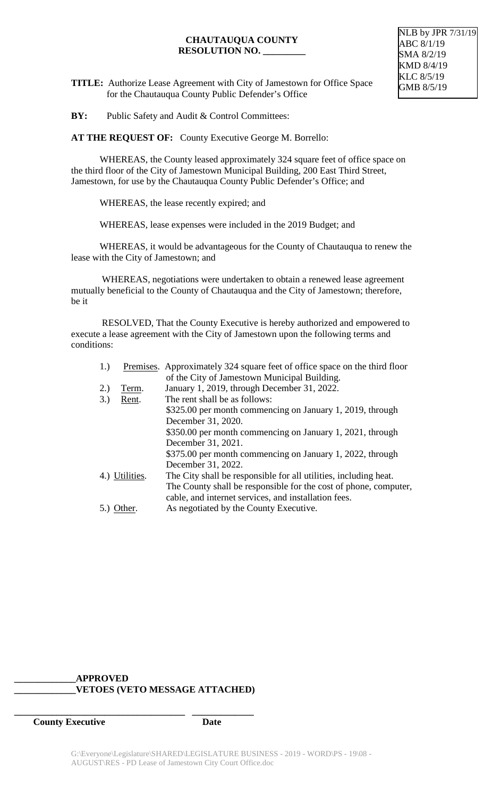NLB by JPR 7/31/19 ABC 8/1/19 SMA 8/2/19 KMD 8/4/19 KLC 8/5/19 GMB 8/5/19

**TITLE:** Authorize Lease Agreement with City of Jamestown for Office Space for the Chautauqua County Public Defender's Office

**BY:** Public Safety and Audit & Control Committees:

**AT THE REQUEST OF:** County Executive George M. Borrello:

WHEREAS, the County leased approximately 324 square feet of office space on the third floor of the City of Jamestown Municipal Building, 200 East Third Street, Jamestown, for use by the Chautauqua County Public Defender's Office; and

WHEREAS, the lease recently expired; and

WHEREAS, lease expenses were included in the 2019 Budget; and

WHEREAS, it would be advantageous for the County of Chautauqua to renew the lease with the City of Jamestown; and

WHEREAS, negotiations were undertaken to obtain a renewed lease agreement mutually beneficial to the County of Chautauqua and the City of Jamestown; therefore, be it

RESOLVED, That the County Executive is hereby authorized and empowered to execute a lease agreement with the City of Jamestown upon the following terms and conditions:

| 1.) |                | Premises. Approximately 324 square feet of office space on the third floor |
|-----|----------------|----------------------------------------------------------------------------|
|     |                | of the City of Jamestown Municipal Building.                               |
| 2.) | Term.          | January 1, 2019, through December 31, 2022.                                |
| 3.) | Rent.          | The rent shall be as follows:                                              |
|     |                | \$325.00 per month commencing on January 1, 2019, through                  |
|     |                | December 31, 2020.                                                         |
|     |                | \$350.00 per month commencing on January 1, 2021, through                  |
|     |                | December 31, 2021.                                                         |
|     |                | \$375.00 per month commencing on January 1, 2022, through                  |
|     |                | December 31, 2022.                                                         |
|     | 4.) Utilities. | The City shall be responsible for all utilities, including heat.           |
|     |                | The County shall be responsible for the cost of phone, computer,           |
|     |                | cable, and internet services, and installation fees.                       |
|     | $5.)$ Other.   | As negotiated by the County Executive.                                     |

# **\_\_\_\_\_\_\_\_\_\_\_\_\_APPROVED \_\_\_\_\_\_\_\_\_\_\_\_\_VETOES (VETO MESSAGE ATTACHED)**

**\_\_\_\_\_\_\_\_\_\_\_\_\_\_\_\_\_\_\_\_\_\_\_\_\_\_\_\_\_\_\_\_\_\_\_\_ \_\_\_\_\_\_\_\_\_\_\_\_\_**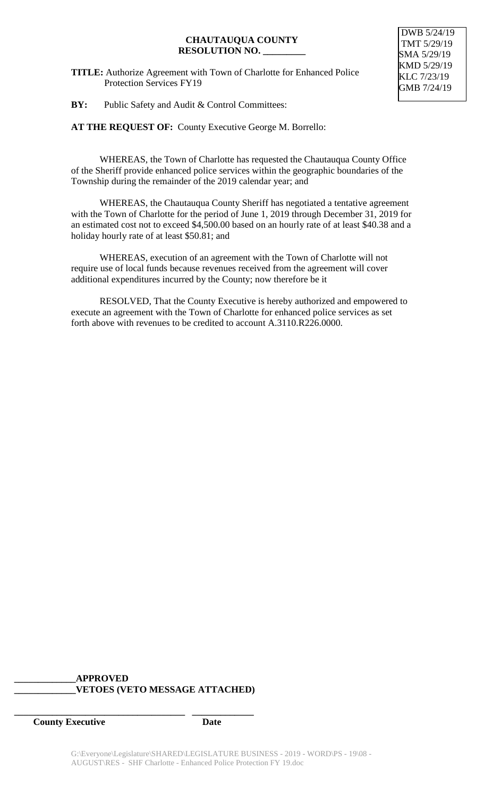**TITLE:** Authorize Agreement with Town of Charlotte for Enhanced Police Protection Services FY19

DWB 5/24/19 TMT 5/29/19 SMA 5/29/19 KMD 5/29/19 KLC 7/23/19 GMB 7/24/19

**BY:** Public Safety and Audit & Control Committees:

**AT THE REQUEST OF:** County Executive George M. Borrello:

WHEREAS, the Town of Charlotte has requested the Chautauqua County Office of the Sheriff provide enhanced police services within the geographic boundaries of the Township during the remainder of the 2019 calendar year; and

WHEREAS, the Chautauqua County Sheriff has negotiated a tentative agreement with the Town of Charlotte for the period of June 1, 2019 through December 31, 2019 for an estimated cost not to exceed \$4,500.00 based on an hourly rate of at least \$40.38 and a holiday hourly rate of at least \$50.81; and

WHEREAS, execution of an agreement with the Town of Charlotte will not require use of local funds because revenues received from the agreement will cover additional expenditures incurred by the County; now therefore be it

RESOLVED, That the County Executive is hereby authorized and empowered to execute an agreement with the Town of Charlotte for enhanced police services as set forth above with revenues to be credited to account A.3110.R226.0000.

# **\_\_\_\_\_\_\_\_\_\_\_\_\_APPROVED \_\_\_\_\_\_\_\_\_\_\_\_\_VETOES (VETO MESSAGE ATTACHED)**

**\_\_\_\_\_\_\_\_\_\_\_\_\_\_\_\_\_\_\_\_\_\_\_\_\_\_\_\_\_\_\_\_\_\_\_\_ \_\_\_\_\_\_\_\_\_\_\_\_\_**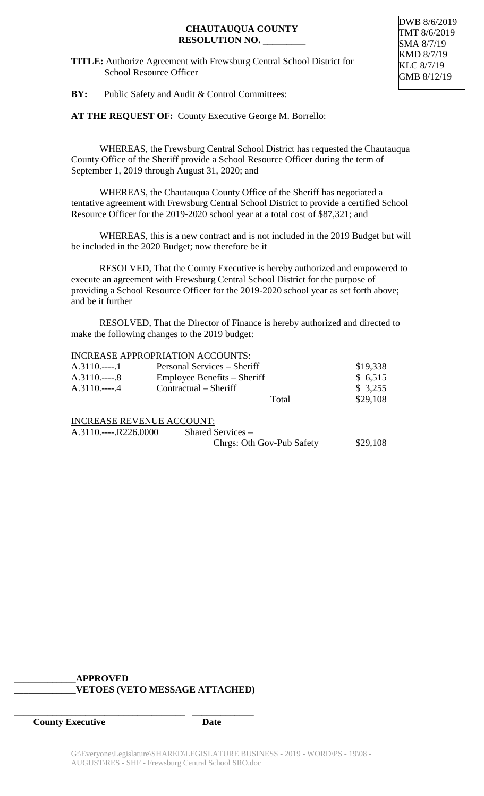**TITLE:** Authorize Agreement with Frewsburg Central School District for School Resource Officer

DWB 8/6/2019 TMT 8/6/2019 SMA 8/7/19 KMD 8/7/19 KLC 8/7/19 GMB 8/12/19

**BY:** Public Safety and Audit & Control Committees:

**AT THE REQUEST OF:** County Executive George M. Borrello:

WHEREAS, the Frewsburg Central School District has requested the Chautauqua County Office of the Sheriff provide a School Resource Officer during the term of September 1, 2019 through August 31, 2020; and

WHEREAS, the Chautauqua County Office of the Sheriff has negotiated a tentative agreement with Frewsburg Central School District to provide a certified School Resource Officer for the 2019-2020 school year at a total cost of \$87,321; and

WHEREAS, this is a new contract and is not included in the 2019 Budget but will be included in the 2020 Budget; now therefore be it

RESOLVED, That the County Executive is hereby authorized and empowered to execute an agreement with Frewsburg Central School District for the purpose of providing a School Resource Officer for the 2019-2020 school year as set forth above; and be it further

RESOLVED, That the Director of Finance is hereby authorized and directed to make the following changes to the 2019 budget:

#### INCREASE APPROPRIATION ACCOUNTS:

| $A.3110$       | Personal Services – Sheriff | \$19,338 |
|----------------|-----------------------------|----------|
| $A.3110$ 8     | Employee Benefits – Sheriff | \$6,515  |
| $A.3110.---.4$ | Contractual – Sheriff       | \$3,255  |
|                | Total                       | \$29,108 |
|                |                             |          |

INCREASE REVENUE ACCOUNT:

A.3110.----.R226.0000 Shared Services – Chrgs: Oth Gov-Pub Safety \$29,108

#### **\_\_\_\_\_\_\_\_\_\_\_\_\_APPROVED \_\_\_\_\_\_\_\_\_\_\_\_\_VETOES (VETO MESSAGE ATTACHED)**

**\_\_\_\_\_\_\_\_\_\_\_\_\_\_\_\_\_\_\_\_\_\_\_\_\_\_\_\_\_\_\_\_\_\_\_\_ \_\_\_\_\_\_\_\_\_\_\_\_\_**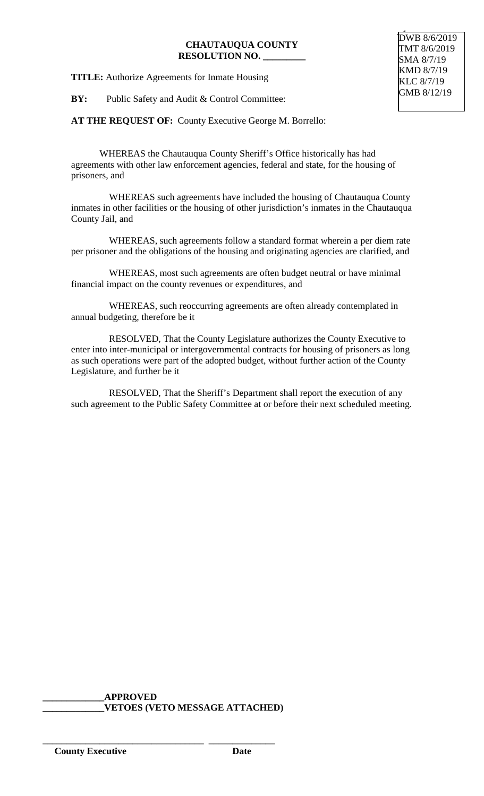**TITLE:** Authorize Agreements for Inmate Housing

**BY:** Public Safety and Audit & Control Committee:

**AT THE REQUEST OF:** County Executive George M. Borrello:

WHEREAS the Chautauqua County Sheriff's Office historically has had agreements with other law enforcement agencies, federal and state, for the housing of prisoners, and

 WHEREAS such agreements have included the housing of Chautauqua County inmates in other facilities or the housing of other jurisdiction's inmates in the Chautauqua County Jail, and

 WHEREAS, such agreements follow a standard format wherein a per diem rate per prisoner and the obligations of the housing and originating agencies are clarified, and

 WHEREAS, most such agreements are often budget neutral or have minimal financial impact on the county revenues or expenditures, and

 WHEREAS, such reoccurring agreements are often already contemplated in annual budgeting, therefore be it

 RESOLVED, That the County Legislature authorizes the County Executive to enter into inter-municipal or intergovernmental contracts for housing of prisoners as long as such operations were part of the adopted budget, without further action of the County Legislature, and further be it

 RESOLVED, That the Sheriff's Department shall report the execution of any such agreement to the Public Safety Committee at or before their next scheduled meeting.

**\_\_\_\_\_\_\_\_\_\_\_\_\_APPROVED \_\_\_\_\_\_\_\_\_\_\_\_\_VETOES (VETO MESSAGE ATTACHED)**

\_\_\_\_\_\_\_\_\_\_\_\_\_\_\_\_\_\_\_\_\_\_\_\_\_\_\_\_\_\_\_\_\_\_ \_\_\_\_\_\_\_\_\_\_\_\_\_\_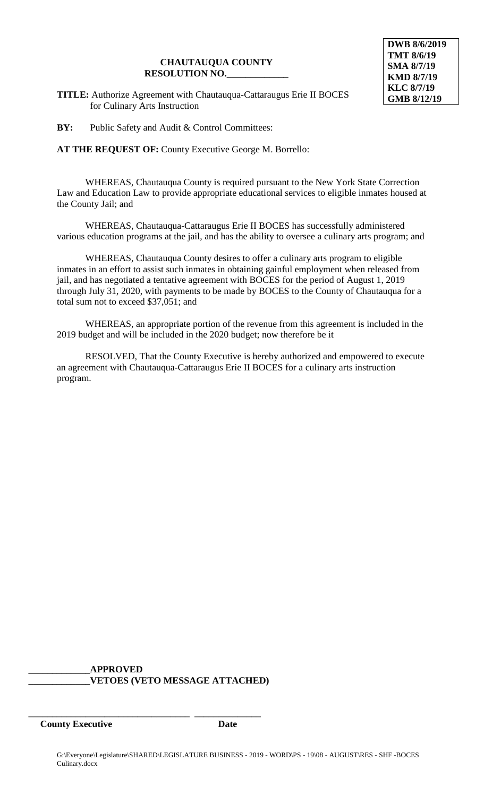**TITLE:** Authorize Agreement with Chautauqua-Cattaraugus Erie II BOCES for Culinary Arts Instruction

**BY:** Public Safety and Audit & Control Committees:

**AT THE REQUEST OF:** County Executive George M. Borrello:

WHEREAS, Chautauqua County is required pursuant to the New York State Correction Law and Education Law to provide appropriate educational services to eligible inmates housed at the County Jail; and

WHEREAS, Chautauqua-Cattaraugus Erie II BOCES has successfully administered various education programs at the jail, and has the ability to oversee a culinary arts program; and

WHEREAS, Chautauqua County desires to offer a culinary arts program to eligible inmates in an effort to assist such inmates in obtaining gainful employment when released from jail, and has negotiated a tentative agreement with BOCES for the period of August 1, 2019 through July 31, 2020, with payments to be made by BOCES to the County of Chautauqua for a total sum not to exceed \$37,051; and

WHEREAS, an appropriate portion of the revenue from this agreement is included in the 2019 budget and will be included in the 2020 budget; now therefore be it

RESOLVED, That the County Executive is hereby authorized and empowered to execute an agreement with Chautauqua-Cattaraugus Erie II BOCES for a culinary arts instruction program.

**\_\_\_\_\_\_\_\_\_\_\_\_\_APPROVED \_\_\_\_\_\_\_\_\_\_\_\_\_VETOES (VETO MESSAGE ATTACHED)**

\_\_\_\_\_\_\_\_\_\_\_\_\_\_\_\_\_\_\_\_\_\_\_\_\_\_\_\_\_\_\_\_\_\_ \_\_\_\_\_\_\_\_\_\_\_\_\_\_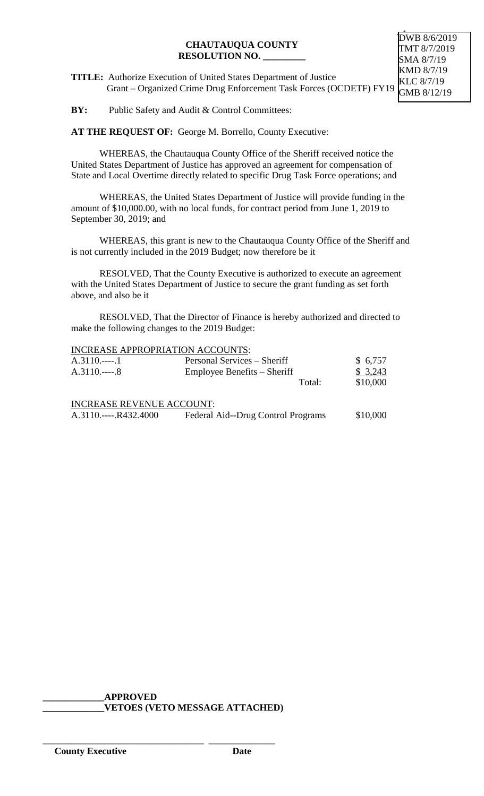**TITLE:** Authorize Execution of United States Department of Justice Grant – Organized Crime Drug Enforcement Task Forces (OCDETF) FY19

**BY:** Public Safety and Audit & Control Committees:

AT THE REQUEST OF: George M. Borrello, County Executive:

WHEREAS, the Chautauqua County Office of the Sheriff received notice the United States Department of Justice has approved an agreement for compensation of State and Local Overtime directly related to specific Drug Task Force operations; and

WHEREAS, the United States Department of Justice will provide funding in the amount of \$10,000.00, with no local funds, for contract period from June 1, 2019 to September 30, 2019; and

WHEREAS, this grant is new to the Chautauqua County Office of the Sheriff and is not currently included in the 2019 Budget; now therefore be it

RESOLVED, That the County Executive is authorized to execute an agreement with the United States Department of Justice to secure the grant funding as set forth above, and also be it

RESOLVED, That the Director of Finance is hereby authorized and directed to make the following changes to the 2019 Budget:

## INCREASE APPROPRIATION ACCOUNTS:

| $A.3110$ 1<br>$A.3110.---8$      | Personal Services – Sheriff<br>Employee Benefits – Sheriff | \$6,757<br>\$3,243 |
|----------------------------------|------------------------------------------------------------|--------------------|
|                                  | Total:                                                     | \$10,000           |
| <b>INCREASE REVENUE ACCOUNT:</b> |                                                            |                    |
| $A.3110$ R432.4000               | Federal Aid--Drug Control Programs                         | \$10,000           |

**\_\_\_\_\_\_\_\_\_\_\_\_\_APPROVED \_\_\_\_\_\_\_\_\_\_\_\_\_VETOES (VETO MESSAGE ATTACHED)**

\_\_\_\_\_\_\_\_\_\_\_\_\_\_\_\_\_\_\_\_\_\_\_\_\_\_\_\_\_\_\_\_\_\_ \_\_\_\_\_\_\_\_\_\_\_\_\_\_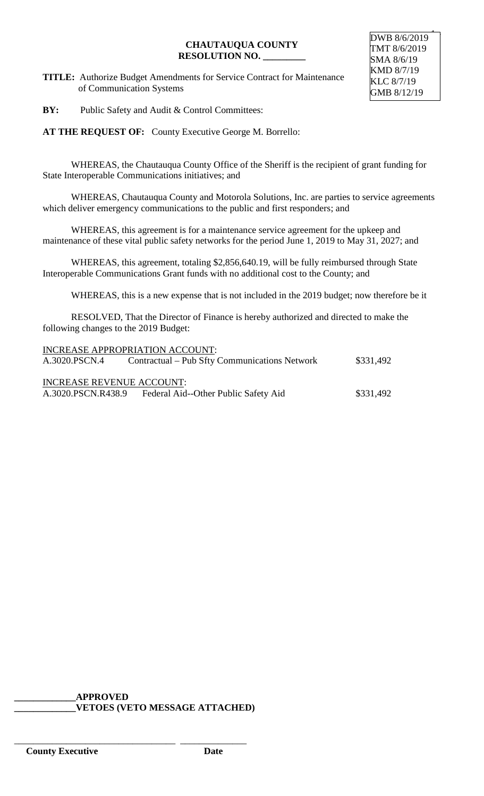**TITLE:** Authorize Budget Amendments for Service Contract for Maintenance of Communication Systems

**BY:** Public Safety and Audit & Control Committees:

**AT THE REQUEST OF:** County Executive George M. Borrello:

WHEREAS, the Chautauqua County Office of the Sheriff is the recipient of grant funding for State Interoperable Communications initiatives; and

WHEREAS, Chautauqua County and Motorola Solutions, Inc. are parties to service agreements which deliver emergency communications to the public and first responders; and

WHEREAS, this agreement is for a maintenance service agreement for the upkeep and maintenance of these vital public safety networks for the period June 1, 2019 to May 31, 2027; and

WHEREAS, this agreement, totaling \$2,856,640.19, will be fully reimbursed through State Interoperable Communications Grant funds with no additional cost to the County; and

WHEREAS, this is a new expense that is not included in the 2019 budget; now therefore be it

RESOLVED, That the Director of Finance is hereby authorized and directed to make the following changes to the 2019 Budget:

|                           | INCREASE APPROPRIATION ACCOUNT:               |           |
|---------------------------|-----------------------------------------------|-----------|
| A.3020.PSCN.4             | Contractual – Pub Sfty Communications Network | \$331,492 |
|                           |                                               |           |
| INCREASE REVENUE ACCOUNT: |                                               |           |
| A.3020.PSCN.R438.9        | Federal Aid--Other Public Safety Aid          | \$331,492 |

# **\_\_\_\_\_\_\_\_\_\_\_\_\_APPROVED**

\_\_\_\_\_\_\_\_\_\_\_\_\_\_\_\_\_\_\_\_\_\_\_\_\_\_\_\_\_\_\_\_\_\_ \_\_\_\_\_\_\_\_\_\_\_\_\_\_

**\_\_\_\_\_\_\_\_\_\_\_\_\_VETOES (VETO MESSAGE ATTACHED)**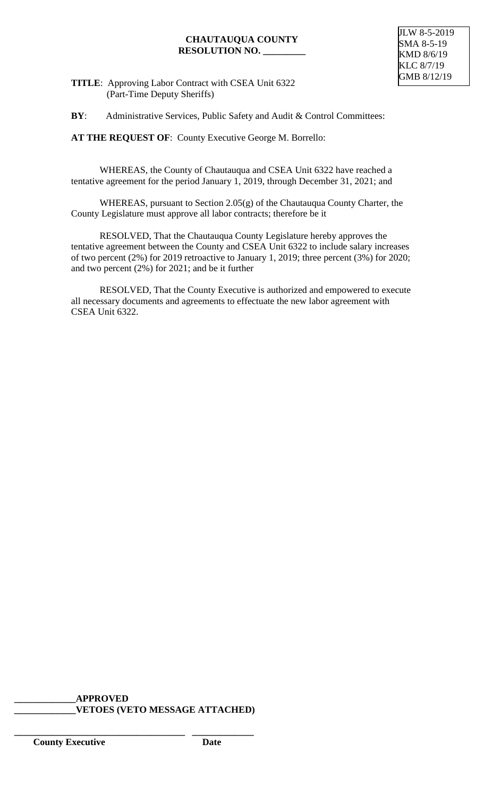## **TITLE**: Approving Labor Contract with CSEA Unit 6322 (Part-Time Deputy Sheriffs)

**BY:** Administrative Services, Public Safety and Audit & Control Committees:

**AT THE REQUEST OF**: County Executive George M. Borrello:

WHEREAS, the County of Chautauqua and CSEA Unit 6322 have reached a tentative agreement for the period January 1, 2019, through December 31, 2021; and

WHEREAS, pursuant to Section 2.05(g) of the Chautauqua County Charter, the County Legislature must approve all labor contracts; therefore be it

RESOLVED, That the Chautauqua County Legislature hereby approves the tentative agreement between the County and CSEA Unit 6322 to include salary increases of two percent (2%) for 2019 retroactive to January 1, 2019; three percent (3%) for 2020; and two percent (2%) for 2021; and be it further

RESOLVED, That the County Executive is authorized and empowered to execute all necessary documents and agreements to effectuate the new labor agreement with CSEA Unit 6322.

#### **\_\_\_\_\_\_\_\_\_\_\_\_\_APPROVED \_\_\_\_\_\_\_\_\_\_\_\_\_VETOES (VETO MESSAGE ATTACHED)**

**\_\_\_\_\_\_\_\_\_\_\_\_\_\_\_\_\_\_\_\_\_\_\_\_\_\_\_\_\_\_\_\_\_\_\_\_ \_\_\_\_\_\_\_\_\_\_\_\_\_**